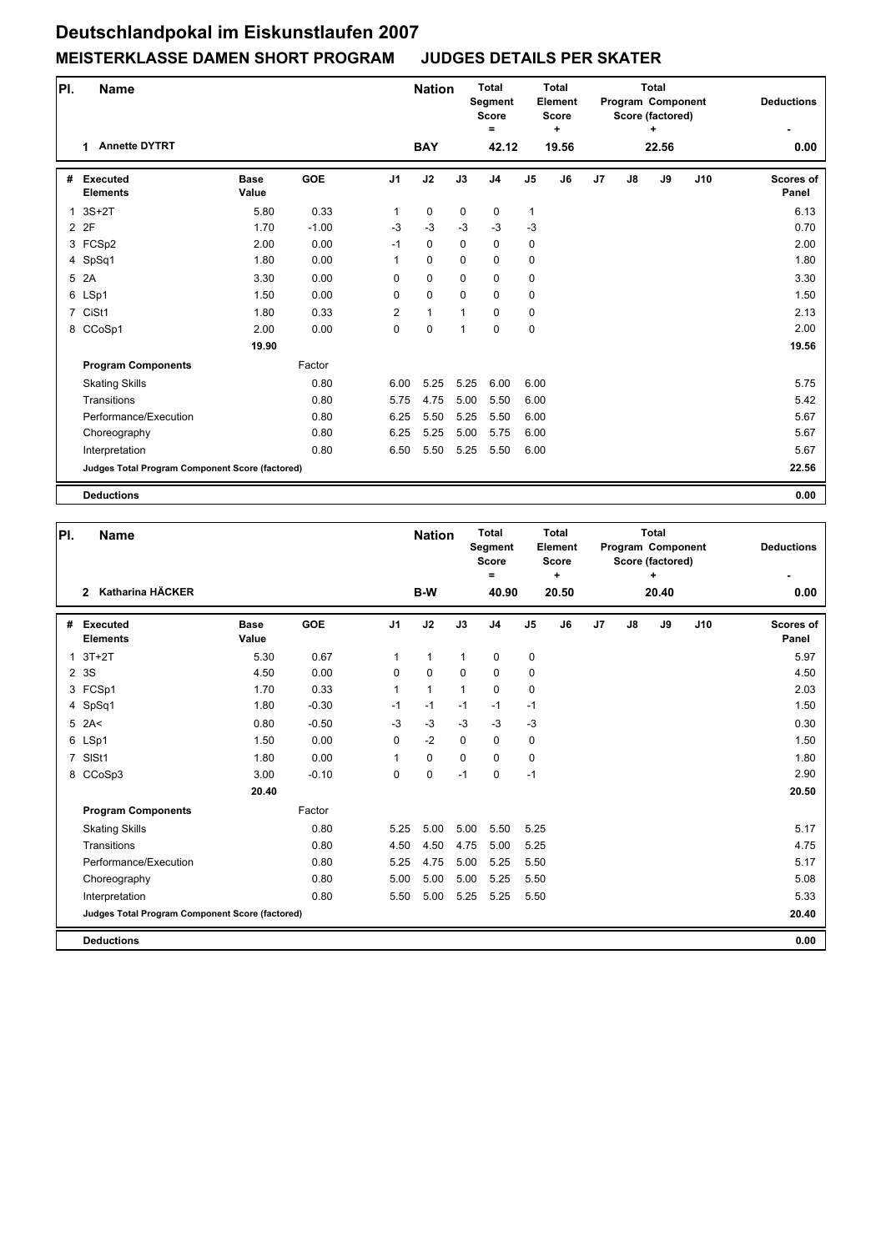| PI.            | <b>Name</b>                                     |                      |            |                | <b>Nation</b> |             | <b>Total</b><br>Segment<br><b>Score</b><br>$\equiv$ |                | <b>Total</b><br>Element<br><b>Score</b><br>÷ |    |               | <b>Total</b><br>Program Component<br>Score (factored)<br>۰. | <b>Deductions</b> |                    |
|----------------|-------------------------------------------------|----------------------|------------|----------------|---------------|-------------|-----------------------------------------------------|----------------|----------------------------------------------|----|---------------|-------------------------------------------------------------|-------------------|--------------------|
|                | <b>Annette DYTRT</b><br>1                       |                      |            |                | <b>BAY</b>    |             | 42.12                                               |                | 19.56                                        |    |               | 22.56                                                       |                   | 0.00               |
| #              | <b>Executed</b><br><b>Elements</b>              | <b>Base</b><br>Value | <b>GOE</b> | J <sub>1</sub> | J2            | J3          | J4                                                  | J <sub>5</sub> | J6                                           | J7 | $\mathsf{J}8$ | J9                                                          | J10               | Scores of<br>Panel |
| 1              | $3S+2T$                                         | 5.80                 | 0.33       | 1              | 0             | $\mathbf 0$ | 0                                                   | 1              |                                              |    |               |                                                             |                   | 6.13               |
|                | 2 2F                                            | 1.70                 | $-1.00$    | $-3$           | $-3$          | $-3$        | $-3$                                                | $-3$           |                                              |    |               |                                                             |                   | 0.70               |
|                | 3 FCSp2                                         | 2.00                 | 0.00       | $-1$           | 0             | $\mathbf 0$ | 0                                                   | 0              |                                              |    |               |                                                             |                   | 2.00               |
|                | 4 SpSq1                                         | 1.80                 | 0.00       | $\mathbf{1}$   | 0             | $\mathbf 0$ | $\mathbf 0$                                         | 0              |                                              |    |               |                                                             |                   | 1.80               |
|                | 5 2A                                            | 3.30                 | 0.00       | 0              | 0             | 0           | 0                                                   | $\pmb{0}$      |                                              |    |               |                                                             |                   | 3.30               |
|                | 6 LSp1                                          | 1.50                 | 0.00       | 0              | 0             | $\mathbf 0$ | $\mathbf 0$                                         | 0              |                                              |    |               |                                                             |                   | 1.50               |
| $\overline{7}$ | CiSt1                                           | 1.80                 | 0.33       | $\overline{2}$ | $\mathbf{1}$  | 1           | $\mathbf 0$                                         | 0              |                                              |    |               |                                                             |                   | 2.13               |
|                | 8 CCoSp1                                        | 2.00                 | 0.00       | $\Omega$       | 0             | 1           | $\mathbf 0$                                         | 0              |                                              |    |               |                                                             |                   | 2.00               |
|                |                                                 | 19.90                |            |                |               |             |                                                     |                |                                              |    |               |                                                             |                   | 19.56              |
|                | <b>Program Components</b>                       |                      | Factor     |                |               |             |                                                     |                |                                              |    |               |                                                             |                   |                    |
|                | <b>Skating Skills</b>                           |                      | 0.80       | 6.00           | 5.25          | 5.25        | 6.00                                                | 6.00           |                                              |    |               |                                                             |                   | 5.75               |
|                | Transitions                                     |                      | 0.80       | 5.75           | 4.75          | 5.00        | 5.50                                                | 6.00           |                                              |    |               |                                                             |                   | 5.42               |
|                | Performance/Execution                           |                      | 0.80       | 6.25           | 5.50          | 5.25        | 5.50                                                | 6.00           |                                              |    |               |                                                             |                   | 5.67               |
|                | Choreography                                    |                      | 0.80       | 6.25           | 5.25          | 5.00        | 5.75                                                | 6.00           |                                              |    |               |                                                             |                   | 5.67               |
|                | Interpretation                                  |                      | 0.80       | 6.50           | 5.50          | 5.25        | 5.50                                                | 6.00           |                                              |    |               |                                                             |                   | 5.67               |
|                | Judges Total Program Component Score (factored) |                      |            |                |               |             |                                                     |                |                                              |    |               |                                                             |                   | 22.56              |
|                | <b>Deductions</b>                               |                      |            |                |               |             |                                                     |                |                                              |    |               |                                                             |                   | 0.00               |

| PI.            | <b>Name</b>                                     |                      |            |                | <b>Nation</b> |              | <b>Total</b><br><b>Segment</b><br><b>Score</b><br>$=$ |                | <b>Total</b><br>Element<br><b>Score</b><br>٠ |    | <b>Total</b><br>Program Component<br>Score (factored) | <b>Deductions</b> |     |                    |
|----------------|-------------------------------------------------|----------------------|------------|----------------|---------------|--------------|-------------------------------------------------------|----------------|----------------------------------------------|----|-------------------------------------------------------|-------------------|-----|--------------------|
|                | Katharina HÄCKER<br>$\mathbf{2}$                |                      |            |                | B-W           |              | 40.90                                                 |                | 20.50                                        |    |                                                       | 20.40             |     | 0.00               |
| #              | <b>Executed</b><br><b>Elements</b>              | <b>Base</b><br>Value | <b>GOE</b> | J <sub>1</sub> | J2            | J3           | J <sub>4</sub>                                        | J <sub>5</sub> | J6                                           | J7 | $\mathsf{J}8$                                         | J9                | J10 | Scores of<br>Panel |
| $\mathbf{1}$   | $3T+2T$                                         | 5.30                 | 0.67       | 1              | 1             | $\mathbf{1}$ | 0                                                     | 0              |                                              |    |                                                       |                   |     | 5.97               |
|                | 2 3 S                                           | 4.50                 | 0.00       | $\mathbf 0$    | $\Omega$      | $\Omega$     | $\mathbf 0$                                           | 0              |                                              |    |                                                       |                   |     | 4.50               |
|                | 3 FCSp1                                         | 1.70                 | 0.33       | 1              | 1             | 1            | $\Omega$                                              | 0              |                                              |    |                                                       |                   |     | 2.03               |
|                | 4 SpSq1                                         | 1.80                 | $-0.30$    | $-1$           | $-1$          | $-1$         | $-1$                                                  | $-1$           |                                              |    |                                                       |                   |     | 1.50               |
|                | $5$ 2A<                                         | 0.80                 | $-0.50$    | $-3$           | $-3$          | $-3$         | $-3$                                                  | $-3$           |                                              |    |                                                       |                   |     | 0.30               |
|                | 6 LSp1                                          | 1.50                 | 0.00       | 0              | $-2$          | $\mathbf 0$  | $\mathbf 0$                                           | 0              |                                              |    |                                                       |                   |     | 1.50               |
| $\overline{7}$ | SISt1                                           | 1.80                 | 0.00       | 1              | $\mathbf 0$   | $\Omega$     | $\Omega$                                              | $\pmb{0}$      |                                              |    |                                                       |                   |     | 1.80               |
|                | 8 CCoSp3                                        | 3.00                 | $-0.10$    | $\mathbf 0$    | 0             | $-1$         | $\mathbf 0$                                           | $-1$           |                                              |    |                                                       |                   |     | 2.90               |
|                |                                                 | 20.40                |            |                |               |              |                                                       |                |                                              |    |                                                       |                   |     | 20.50              |
|                | <b>Program Components</b>                       |                      | Factor     |                |               |              |                                                       |                |                                              |    |                                                       |                   |     |                    |
|                | <b>Skating Skills</b>                           |                      | 0.80       | 5.25           | 5.00          | 5.00         | 5.50                                                  | 5.25           |                                              |    |                                                       |                   |     | 5.17               |
|                | Transitions                                     |                      | 0.80       | 4.50           | 4.50          | 4.75         | 5.00                                                  | 5.25           |                                              |    |                                                       |                   |     | 4.75               |
|                | Performance/Execution                           |                      | 0.80       | 5.25           | 4.75          | 5.00         | 5.25                                                  | 5.50           |                                              |    |                                                       |                   |     | 5.17               |
|                | Choreography                                    |                      | 0.80       | 5.00           | 5.00          | 5.00         | 5.25                                                  | 5.50           |                                              |    |                                                       |                   |     | 5.08               |
|                | Interpretation                                  |                      | 0.80       | 5.50           | 5.00          | 5.25         | 5.25                                                  | 5.50           |                                              |    |                                                       |                   |     | 5.33               |
|                | Judges Total Program Component Score (factored) |                      |            |                |               |              |                                                       |                |                                              |    |                                                       |                   |     | 20.40              |
|                | <b>Deductions</b>                               |                      |            |                |               |              |                                                       |                |                                              |    |                                                       |                   |     | 0.00               |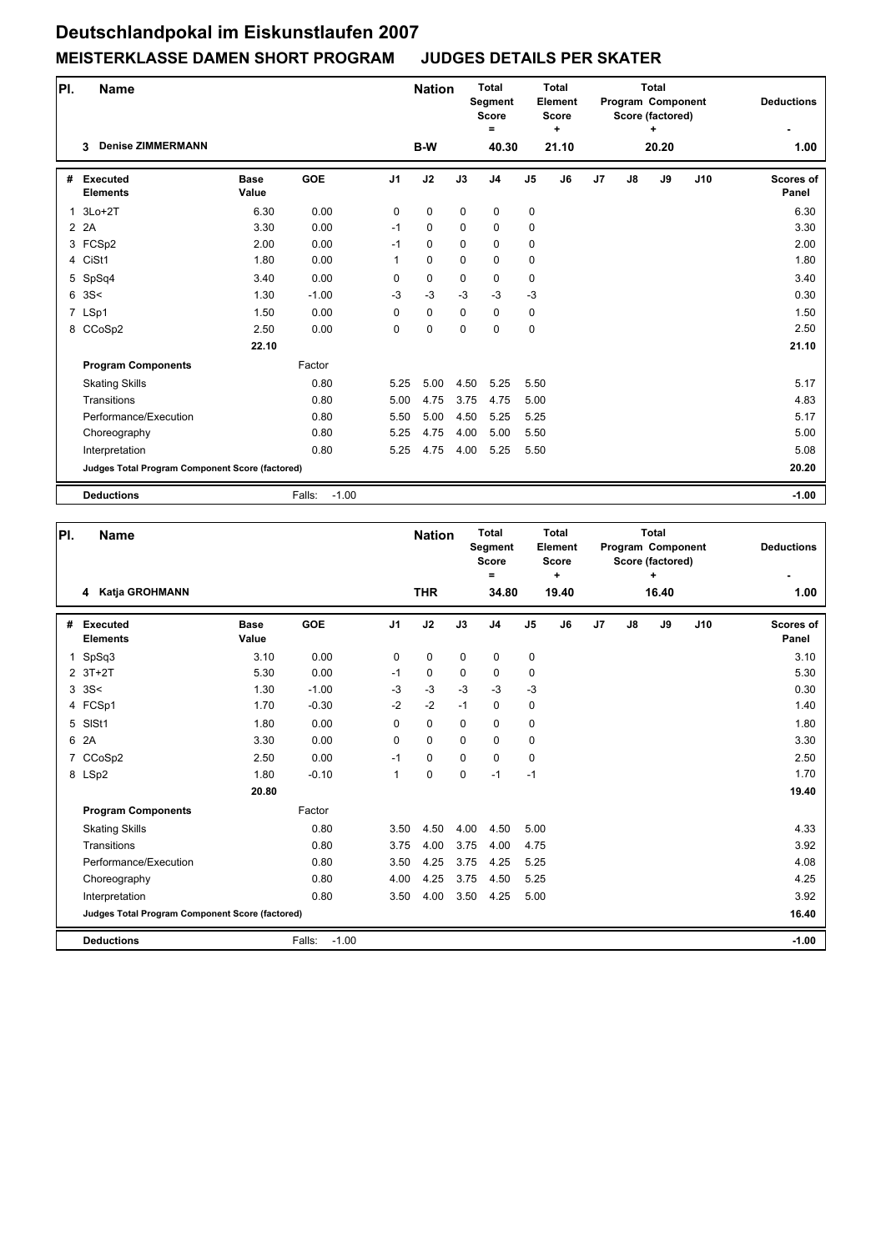| PI. | <b>Name</b>                                     |                      |                   |                | <b>Nation</b> |             | <b>Total</b><br>Segment<br><b>Score</b><br>= |                | <b>Total</b><br>Element<br>Score<br>÷ |    |               | <b>Total</b><br>Program Component<br>Score (factored)<br>+ |     | <b>Deductions</b>         |
|-----|-------------------------------------------------|----------------------|-------------------|----------------|---------------|-------------|----------------------------------------------|----------------|---------------------------------------|----|---------------|------------------------------------------------------------|-----|---------------------------|
|     | <b>Denise ZIMMERMANN</b><br>3                   |                      |                   |                | B-W           |             | 40.30                                        |                | 21.10                                 |    |               | 20.20                                                      |     | 1.00                      |
| #   | <b>Executed</b><br><b>Elements</b>              | <b>Base</b><br>Value | <b>GOE</b>        | J <sub>1</sub> | J2            | J3          | J <sub>4</sub>                               | J <sub>5</sub> | J6                                    | J7 | $\mathsf{J}8$ | J9                                                         | J10 | <b>Scores of</b><br>Panel |
| 1   | $3Lo+2T$                                        | 6.30                 | 0.00              | 0              | $\mathbf 0$   | $\mathbf 0$ | $\mathbf 0$                                  | 0              |                                       |    |               |                                                            |     | 6.30                      |
|     | 2 2 A                                           | 3.30                 | 0.00              | $-1$           | 0             | $\mathbf 0$ | $\mathbf 0$                                  | 0              |                                       |    |               |                                                            |     | 3.30                      |
|     | 3 FCSp2                                         | 2.00                 | 0.00              | $-1$           | 0             | $\Omega$    | $\mathbf 0$                                  | 0              |                                       |    |               |                                                            |     | 2.00                      |
|     | 4 CiSt1                                         | 1.80                 | 0.00              | 1              | $\mathbf 0$   | $\mathbf 0$ | $\mathbf 0$                                  | 0              |                                       |    |               |                                                            |     | 1.80                      |
|     | 5 SpSq4                                         | 3.40                 | 0.00              | 0              | 0             | $\mathbf 0$ | $\mathbf 0$                                  | 0              |                                       |    |               |                                                            |     | 3.40                      |
| 6   | 3S<                                             | 1.30                 | $-1.00$           | $-3$           | $-3$          | $-3$        | $-3$                                         | $-3$           |                                       |    |               |                                                            |     | 0.30                      |
|     | 7 LSp1                                          | 1.50                 | 0.00              | 0              | $\mathbf 0$   | $\mathbf 0$ | $\mathbf 0$                                  | 0              |                                       |    |               |                                                            |     | 1.50                      |
|     | 8 CCoSp2                                        | 2.50                 | 0.00              | $\Omega$       | $\mathbf 0$   | $\mathbf 0$ | $\mathbf 0$                                  | $\mathbf 0$    |                                       |    |               |                                                            |     | 2.50                      |
|     |                                                 | 22.10                |                   |                |               |             |                                              |                |                                       |    |               |                                                            |     | 21.10                     |
|     | <b>Program Components</b>                       |                      | Factor            |                |               |             |                                              |                |                                       |    |               |                                                            |     |                           |
|     | <b>Skating Skills</b>                           |                      | 0.80              | 5.25           | 5.00          | 4.50        | 5.25                                         | 5.50           |                                       |    |               |                                                            |     | 5.17                      |
|     | Transitions                                     |                      | 0.80              | 5.00           | 4.75          | 3.75        | 4.75                                         | 5.00           |                                       |    |               |                                                            |     | 4.83                      |
|     | Performance/Execution                           |                      | 0.80              | 5.50           | 5.00          | 4.50        | 5.25                                         | 5.25           |                                       |    |               |                                                            |     | 5.17                      |
|     | Choreography                                    |                      | 0.80              | 5.25           | 4.75          | 4.00        | 5.00                                         | 5.50           |                                       |    |               |                                                            |     | 5.00                      |
|     | Interpretation                                  |                      | 0.80              | 5.25           | 4.75          | 4.00        | 5.25                                         | 5.50           |                                       |    |               |                                                            |     | 5.08                      |
|     | Judges Total Program Component Score (factored) |                      |                   |                |               |             |                                              |                |                                       |    |               |                                                            |     | 20.20                     |
|     | <b>Deductions</b>                               |                      | $-1.00$<br>Falls: |                |               |             |                                              |                |                                       |    |               |                                                            |     | $-1.00$                   |

| PI.         | <b>Name</b>                                     |                      |                   |                | <b>Nation</b> |             | <b>Total</b><br>Segment<br><b>Score</b><br>= |                | <b>Total</b><br>Element<br><b>Score</b><br>÷ |    |               | <b>Total</b><br>Program Component<br>Score (factored)<br>÷ |     | <b>Deductions</b>         |
|-------------|-------------------------------------------------|----------------------|-------------------|----------------|---------------|-------------|----------------------------------------------|----------------|----------------------------------------------|----|---------------|------------------------------------------------------------|-----|---------------------------|
|             | Katja GROHMANN<br>4                             |                      |                   |                | <b>THR</b>    |             | 34.80                                        |                | 19.40                                        |    |               | 16.40                                                      |     | 1.00                      |
| #           | <b>Executed</b><br><b>Elements</b>              | <b>Base</b><br>Value | <b>GOE</b>        | J <sub>1</sub> | J2            | J3          | J <sub>4</sub>                               | J <sub>5</sub> | J6                                           | J7 | $\mathsf{J}8$ | J9                                                         | J10 | <b>Scores of</b><br>Panel |
| $\mathbf 1$ | SpSq3                                           | 3.10                 | 0.00              | 0              | 0             | $\mathbf 0$ | $\mathbf 0$                                  | 0              |                                              |    |               |                                                            |     | 3.10                      |
|             | $2$ 3T+2T                                       | 5.30                 | 0.00              | $-1$           | $\mathbf 0$   | $\Omega$    | $\mathbf 0$                                  | 0              |                                              |    |               |                                                            |     | 5.30                      |
|             | 335<                                            | 1.30                 | $-1.00$           | $-3$           | $-3$          | $-3$        | $-3$                                         | $-3$           |                                              |    |               |                                                            |     | 0.30                      |
|             | 4 FCSp1                                         | 1.70                 | $-0.30$           | $-2$           | $-2$          | $-1$        | $\mathbf 0$                                  | 0              |                                              |    |               |                                                            |     | 1.40                      |
| 5           | SISt1                                           | 1.80                 | 0.00              | $\Omega$       | $\mathbf 0$   | $\Omega$    | $\Omega$                                     | 0              |                                              |    |               |                                                            |     | 1.80                      |
| 6           | 2A                                              | 3.30                 | 0.00              | 0              | $\mathbf 0$   | $\Omega$    | $\mathbf 0$                                  | 0              |                                              |    |               |                                                            |     | 3.30                      |
|             | 7 CCoSp2                                        | 2.50                 | 0.00              | $-1$           | $\mathbf 0$   | $\mathbf 0$ | $\mathbf 0$                                  | 0              |                                              |    |               |                                                            |     | 2.50                      |
|             | 8 LSp2                                          | 1.80                 | $-0.10$           | $\mathbf{1}$   | 0             | 0           | $-1$                                         | $-1$           |                                              |    |               |                                                            |     | 1.70                      |
|             |                                                 | 20.80                |                   |                |               |             |                                              |                |                                              |    |               |                                                            |     | 19.40                     |
|             | <b>Program Components</b>                       |                      | Factor            |                |               |             |                                              |                |                                              |    |               |                                                            |     |                           |
|             | <b>Skating Skills</b>                           |                      | 0.80              | 3.50           | 4.50          | 4.00        | 4.50                                         | 5.00           |                                              |    |               |                                                            |     | 4.33                      |
|             | Transitions                                     |                      | 0.80              | 3.75           | 4.00          | 3.75        | 4.00                                         | 4.75           |                                              |    |               |                                                            |     | 3.92                      |
|             | Performance/Execution                           |                      | 0.80              | 3.50           | 4.25          | 3.75        | 4.25                                         | 5.25           |                                              |    |               |                                                            |     | 4.08                      |
|             | Choreography                                    |                      | 0.80              | 4.00           | 4.25          | 3.75        | 4.50                                         | 5.25           |                                              |    |               |                                                            |     | 4.25                      |
|             | Interpretation                                  |                      | 0.80              | 3.50           | 4.00          | 3.50        | 4.25                                         | 5.00           |                                              |    |               |                                                            |     | 3.92                      |
|             | Judges Total Program Component Score (factored) |                      |                   |                |               |             |                                              |                |                                              |    |               |                                                            |     | 16.40                     |
|             | <b>Deductions</b>                               |                      | Falls:<br>$-1.00$ |                |               |             |                                              |                |                                              |    |               |                                                            |     | $-1.00$                   |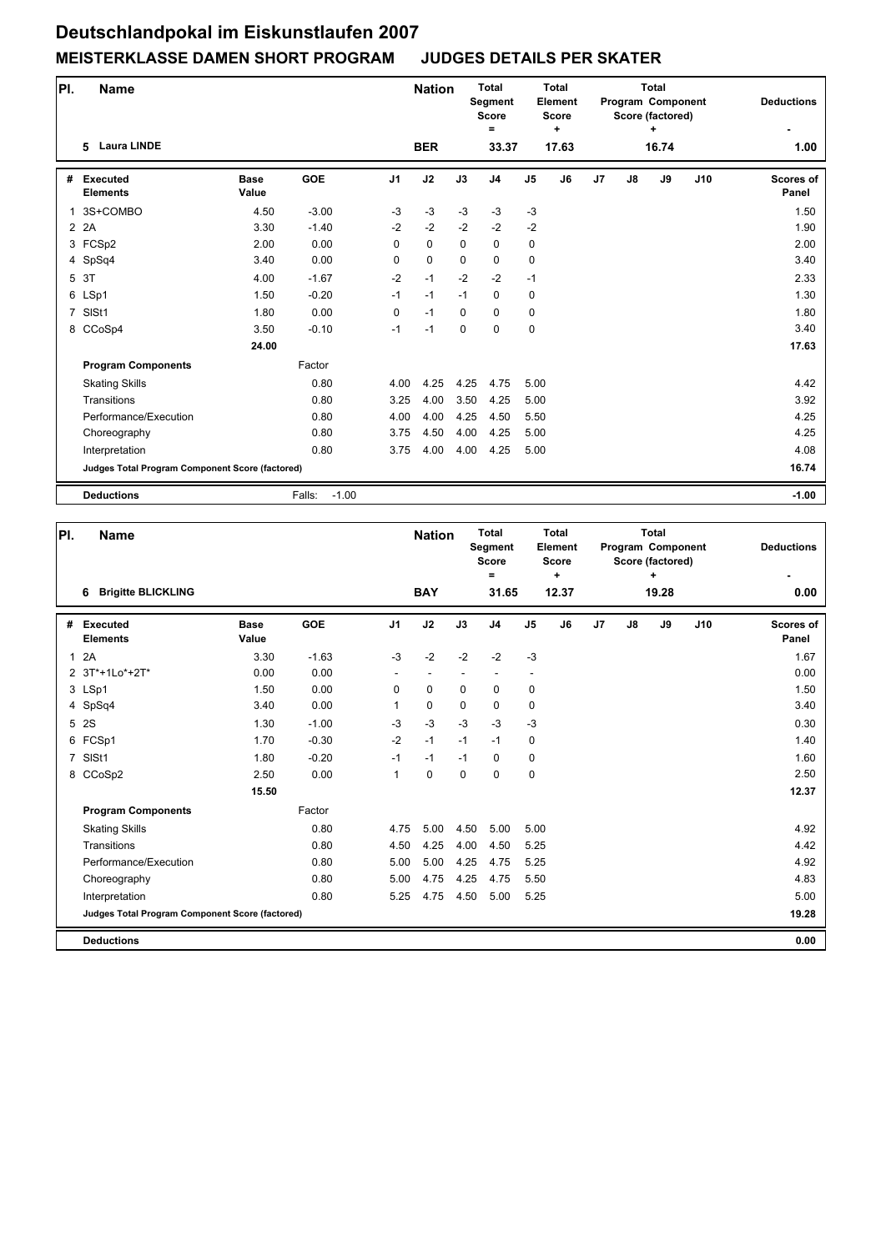| PI.            | <b>Name</b>                                     |                      |                   |                | <b>Nation</b> |             | <b>Total</b><br>Segment<br><b>Score</b><br>$\equiv$ |                | <b>Total</b><br>Element<br><b>Score</b><br>÷ |                | <b>Total</b><br>Program Component<br>Score (factored) | <b>Deductions</b> |     |                           |
|----------------|-------------------------------------------------|----------------------|-------------------|----------------|---------------|-------------|-----------------------------------------------------|----------------|----------------------------------------------|----------------|-------------------------------------------------------|-------------------|-----|---------------------------|
|                | <b>Laura LINDE</b><br>5                         |                      |                   |                | <b>BER</b>    |             | 33.37                                               |                | 17.63                                        |                |                                                       | 16.74             |     | 1.00                      |
| #              | <b>Executed</b><br><b>Elements</b>              | <b>Base</b><br>Value | <b>GOE</b>        | J <sub>1</sub> | J2            | J3          | J <sub>4</sub>                                      | J <sub>5</sub> | J6                                           | J <sub>7</sub> | J8                                                    | J9                | J10 | <b>Scores of</b><br>Panel |
| 1              | 3S+COMBO                                        | 4.50                 | $-3.00$           | $-3$           | $-3$          | $-3$        | $-3$                                                | $-3$           |                                              |                |                                                       |                   |     | 1.50                      |
|                | 2 2A                                            | 3.30                 | $-1.40$           | $-2$           | $-2$          | $-2$        | $-2$                                                | $-2$           |                                              |                |                                                       |                   |     | 1.90                      |
|                | 3 FCSp2                                         | 2.00                 | 0.00              | $\Omega$       | 0             | $\Omega$    | 0                                                   | 0              |                                              |                |                                                       |                   |     | 2.00                      |
|                | 4 SpSq4                                         | 3.40                 | 0.00              | 0              | 0             | 0           | $\mathbf 0$                                         | 0              |                                              |                |                                                       |                   |     | 3.40                      |
|                | 5 3T                                            | 4.00                 | $-1.67$           | $-2$           | $-1$          | $-2$        | $-2$                                                | $-1$           |                                              |                |                                                       |                   |     | 2.33                      |
|                | 6 LSp1                                          | 1.50                 | $-0.20$           | $-1$           | $-1$          | $-1$        | $\mathbf 0$                                         | 0              |                                              |                |                                                       |                   |     | 1.30                      |
| $\overline{7}$ | SISt1                                           | 1.80                 | 0.00              | 0              | $-1$          | $\mathbf 0$ | $\mathbf 0$                                         | 0              |                                              |                |                                                       |                   |     | 1.80                      |
|                | 8 CCoSp4                                        | 3.50                 | $-0.10$           | $-1$           | $-1$          | $\Omega$    | $\mathbf 0$                                         | 0              |                                              |                |                                                       |                   |     | 3.40                      |
|                |                                                 | 24.00                |                   |                |               |             |                                                     |                |                                              |                |                                                       |                   |     | 17.63                     |
|                | <b>Program Components</b>                       |                      | Factor            |                |               |             |                                                     |                |                                              |                |                                                       |                   |     |                           |
|                | <b>Skating Skills</b>                           |                      | 0.80              | 4.00           | 4.25          | 4.25        | 4.75                                                | 5.00           |                                              |                |                                                       |                   |     | 4.42                      |
|                | Transitions                                     |                      | 0.80              | 3.25           | 4.00          | 3.50        | 4.25                                                | 5.00           |                                              |                |                                                       |                   |     | 3.92                      |
|                | Performance/Execution                           |                      | 0.80              | 4.00           | 4.00          | 4.25        | 4.50                                                | 5.50           |                                              |                |                                                       |                   |     | 4.25                      |
|                | Choreography                                    |                      | 0.80              | 3.75           | 4.50          | 4.00        | 4.25                                                | 5.00           |                                              |                |                                                       |                   |     | 4.25                      |
|                | Interpretation                                  |                      | 0.80              | 3.75           | 4.00          | 4.00        | 4.25                                                | 5.00           |                                              |                |                                                       |                   |     | 4.08                      |
|                | Judges Total Program Component Score (factored) |                      |                   |                |               |             |                                                     |                |                                              |                |                                                       |                   |     | 16.74                     |
|                | <b>Deductions</b>                               |                      | $-1.00$<br>Falls: |                |               |             |                                                     |                |                                              |                |                                                       |                   |     | $-1.00$                   |

| PI.            | <b>Name</b>                                     |                      |         | <b>Nation</b>            |             | <b>Total</b><br>Segment<br><b>Score</b><br>$\equiv$ |                          | <b>Total</b><br>Element<br><b>Score</b><br>$\ddot{}$ |       |    | <b>Total</b><br>Program Component<br>Score (factored)<br>÷ |       | <b>Deductions</b> |                    |
|----------------|-------------------------------------------------|----------------------|---------|--------------------------|-------------|-----------------------------------------------------|--------------------------|------------------------------------------------------|-------|----|------------------------------------------------------------|-------|-------------------|--------------------|
|                | <b>Brigitte BLICKLING</b><br>6                  |                      |         |                          | <b>BAY</b>  |                                                     | 31.65                    |                                                      | 12.37 |    |                                                            | 19.28 |                   | 0.00               |
| #              | <b>Executed</b><br><b>Elements</b>              | <b>Base</b><br>Value | GOE     | J <sub>1</sub>           | J2          | J3                                                  | J <sub>4</sub>           | J <sub>5</sub>                                       | J6    | J7 | $\mathsf{J}8$                                              | J9    | J10               | Scores of<br>Panel |
| $\mathbf{1}$   | 2A                                              | 3.30                 | $-1.63$ | $-3$                     | $-2$        | $-2$                                                | $-2$                     | $-3$                                                 |       |    |                                                            |       |                   | 1.67               |
|                | 2 3T*+1Lo*+2T*                                  | 0.00                 | 0.00    | $\overline{\phantom{a}}$ | ٠           |                                                     | $\overline{\phantom{a}}$ | $\overline{\phantom{a}}$                             |       |    |                                                            |       |                   | 0.00               |
|                | 3 LSp1                                          | 1.50                 | 0.00    | $\Omega$                 | $\mathbf 0$ | $\Omega$                                            | $\mathbf 0$              | 0                                                    |       |    |                                                            |       |                   | 1.50               |
|                | 4 SpSq4                                         | 3.40                 | 0.00    | 1                        | $\pmb{0}$   | $\mathbf 0$                                         | $\mathbf 0$              | 0                                                    |       |    |                                                            |       |                   | 3.40               |
| 5              | 2S                                              | 1.30                 | $-1.00$ | $-3$                     | $-3$        | $-3$                                                | $-3$                     | $-3$                                                 |       |    |                                                            |       |                   | 0.30               |
|                | 6 FCSp1                                         | 1.70                 | $-0.30$ | $-2$                     | $-1$        | $-1$                                                | $-1$                     | 0                                                    |       |    |                                                            |       |                   | 1.40               |
| $\overline{7}$ | SISt1                                           | 1.80                 | $-0.20$ | $-1$                     | $-1$        | $-1$                                                | $\mathbf 0$              | 0                                                    |       |    |                                                            |       |                   | 1.60               |
|                | 8 CCoSp2                                        | 2.50                 | 0.00    | $\mathbf{1}$             | $\pmb{0}$   | $\mathbf 0$                                         | $\mathbf 0$              | 0                                                    |       |    |                                                            |       |                   | 2.50               |
|                |                                                 | 15.50                |         |                          |             |                                                     |                          |                                                      |       |    |                                                            |       |                   | 12.37              |
|                | <b>Program Components</b>                       |                      | Factor  |                          |             |                                                     |                          |                                                      |       |    |                                                            |       |                   |                    |
|                | <b>Skating Skills</b>                           |                      | 0.80    | 4.75                     | 5.00        | 4.50                                                | 5.00                     | 5.00                                                 |       |    |                                                            |       |                   | 4.92               |
|                | Transitions                                     |                      | 0.80    | 4.50                     | 4.25        | 4.00                                                | 4.50                     | 5.25                                                 |       |    |                                                            |       |                   | 4.42               |
|                | Performance/Execution                           |                      | 0.80    | 5.00                     | 5.00        | 4.25                                                | 4.75                     | 5.25                                                 |       |    |                                                            |       |                   | 4.92               |
|                | Choreography                                    |                      | 0.80    | 5.00                     | 4.75        | 4.25                                                | 4.75                     | 5.50                                                 |       |    |                                                            |       |                   | 4.83               |
|                | Interpretation                                  |                      | 0.80    | 5.25                     | 4.75        | 4.50                                                | 5.00                     | 5.25                                                 |       |    |                                                            |       |                   | 5.00               |
|                | Judges Total Program Component Score (factored) |                      |         |                          |             |                                                     |                          |                                                      |       |    |                                                            |       |                   | 19.28              |
|                | <b>Deductions</b>                               |                      |         |                          |             |                                                     |                          |                                                      |       |    |                                                            |       |                   | 0.00               |